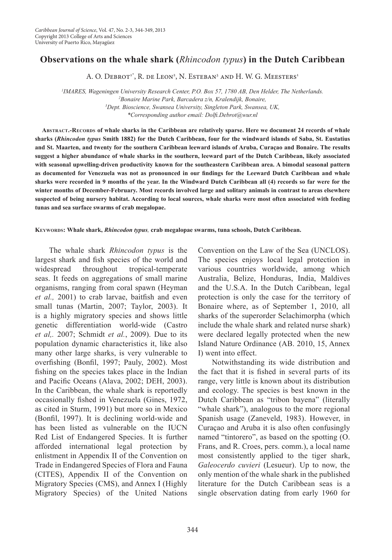## **Observations on the whale shark (***Rhincodon typus***) in the Dutch Caribbean**

A. O. Debrot<sup>1\*</sup>, R. de Leon<sup>2</sup>, N. Esteban<sup>3</sup> and H. W. G. Meesters<sup>1</sup>

*1 IMARES, Wageningen University Research Center, P.O. Box 57, 1780 AB, Den Helder, The Netherlands. 2* <sup>2</sup> Bonaire Marine Park, Barcadera z/n, Kralendijk, Bonaire, *Dept. Bioscience, Swansea University, Singleton Park, Swansea, UK, \*Corresponding author email: Dolfi.Debrot@wur.nl*

**Abstract.-Records of whale sharks in the Caribbean are relatively sparse. Here we document 24 records of whale sharks (***Rhincodon typus* **Smith 1882) for the Dutch Caribbean, four for the windward islands of Saba, St. Eustatius and St. Maarten, and twenty for the southern Caribbean leeward islands of Aruba, Curaçao and Bonaire. The results suggest a higher abundance of whale sharks in the southern, leeward part of the Dutch Caribbean, likely associated with seasonal upwelling-driven productivity known for the southeastern Caribbean area. A bimodal seasonal pattern as documented for Venezuela was not as pronounced in our findings for the Leeward Dutch Caribbean and whale sharks were recorded in 9 months of the year. In the Windward Dutch Caribbean all (4) records so far were for the winter months of December-February. Most records involved large and solitary animals in contrast to areas elsewhere suspected of being nursery habitat. According to local sources, whale sharks were most often associated with feeding tunas and sea surface swarms of crab megalopae.** 

**Keywords: Whale shark,** *Rhincodon typus,* **crab megalopae swarms, tuna schools, Dutch Caribbean.**

The whale shark *Rhincodon typus* is the largest shark and fish species of the world and widespread throughout tropical-temperate seas. It feeds on aggregations of small marine organisms, ranging from coral spawn (Heyman *et al.,* 2001) to crab larvae, baitfish and even small tunas (Martin, 2007; Taylor, 2003). It is a highly migratory species and shows little genetic differentiation world-wide (Castro *et al,.* 2007; Schmidt *et al.*, 2009). Due to its population dynamic characteristics it, like also many other large sharks, is very vulnerable to overfishing (Bonfil, 1997; Pauly, 2002). Most fishing on the species takes place in the Indian and Pacific Oceans (Alava, 2002; DEH, 2003). In the Caribbean, the whale shark is reportedly occasionally fished in Venezuela (Gines, 1972, as cited in Sturm, 1991) but more so in Mexico (Bonfil, 1997). It is declining world-wide and has been listed as vulnerable on the IUCN Red List of Endangered Species. It is further afforded international legal protection by enlistment in Appendix II of the Convention on Trade in Endangered Species of Flora and Fauna (CITES), Appendix II of the Convention on Migratory Species (CMS), and Annex I (Highly Migratory Species) of the United Nations Convention on the Law of the Sea (UNCLOS). The species enjoys local legal protection in various countries worldwide, among which Australia, Belize, Honduras, India, Maldives and the U.S.A. In the Dutch Caribbean, legal protection is only the case for the territory of Bonaire where, as of September 1, 2010, all sharks of the superorder Selachimorpha (which include the whale shark and related nurse shark) were declared legally protected when the new Island Nature Ordinance (AB. 2010, 15, Annex I) went into effect.

Notwithstanding its wide distribution and the fact that it is fished in several parts of its range, very little is known about its distribution and ecology. The species is best known in the Dutch Caribbean as "tribon bayena" (literally "whale shark"), analogous to the more regional Spanish usage (Zaneveld, 1983). However, in Curaçao and Aruba it is also often confusingly named "tintorero", as based on the spotting (O. Frans, and R. Croes, pers. comm.), a local name most consistently applied to the tiger shark, *Galeocerdo cuvieri* (Lesueur). Up to now, the only mention of the whale shark in the published literature for the Dutch Caribbean seas is a single observation dating from early 1960 for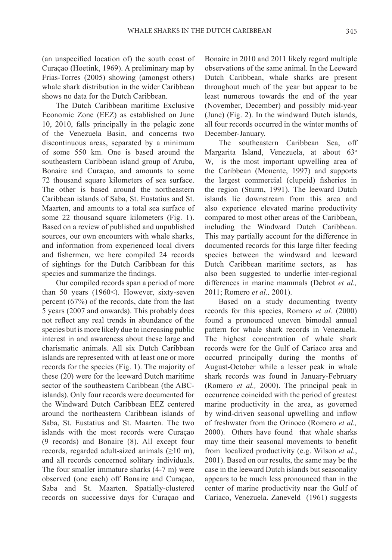(an unspecified location of) the south coast of Curaçao (Hoetink, 1969). A preliminary map by Frias-Torres (2005) showing (amongst others) whale shark distribution in the wider Caribbean shows no data for the Dutch Caribbean.

The Dutch Caribbean maritime Exclusive Economic Zone (EEZ) as established on June 10, 2010, falls principally in the pelagic zone of the Venezuela Basin, and concerns two discontinuous areas, separated by a minimum of some 550 km. One is based around the southeastern Caribbean island group of Aruba, Bonaire and Curaçao, and amounts to some 72 thousand square kilometers of sea surface. The other is based around the northeastern Caribbean islands of Saba, St. Eustatius and St. Maarten, and amounts to a total sea surface of some 22 thousand square kilometers (Fig. 1). Based on a review of published and unpublished sources, our own encounters with whale sharks, and information from experienced local divers and fishermen, we here compiled 24 records of sightings for the Dutch Caribbean for this species and summarize the findings.

Our compiled records span a period of more than 50 years (1960<). However, sixty-seven percent (67%) of the records, date from the last 5 years (2007 and onwards). This probably does not reflect any real trends in abundance of the species but is more likely due to increasing public interest in and awareness about these large and charismatic animals. All six Dutch Caribbean islands are represented with at least one or more records for the species (Fig. 1). The majority of these (20) were for the leeward Dutch maritime sector of the southeastern Caribbean (the ABCislands). Only four records were documented for the Windward Dutch Caribbean EEZ centered around the northeastern Caribbean islands of Saba, St. Eustatius and St. Maarten. The two islands with the most records were Curaçao (9 records) and Bonaire (8). All except four records, regarded adult-sized animals  $(\geq 10 \text{ m})$ , and all records concerned solitary individuals. The four smaller immature sharks (4-7 m) were observed (one each) off Bonaire and Curaçao, Saba and St. Maarten. Spatially-clustered records on successive days for Curaçao and

Bonaire in 2010 and 2011 likely regard multiple observations of the same animal. In the Leeward Dutch Caribbean, whale sharks are present throughout much of the year but appear to be least numerous towards the end of the year (November, December) and possibly mid-year (June) (Fig. 2). In the windward Dutch islands, all four records occurred in the winter months of December-January.

The southeastern Caribbean Sea, off Margarita Island, Venezuela, at about 63° W, is the most important upwelling area of the Caribbean (Monente, 1997) and supports the largest commercial (clupeid) fisheries in the region (Sturm, 1991). The leeward Dutch islands lie downstream from this area and also experience elevated marine productivity compared to most other areas of the Caribbean, including the Windward Dutch Caribbean. This may partially account for the difference in documented records for this large filter feeding species between the windward and leeward Dutch Caribbean maritime sectors, as has also been suggested to underlie inter-regional differences in marine mammals (Debrot *et al.,* 2011; Romero *et al.,* 2001).

Based on a study documenting twenty records for this species, Romero *et al.* (2000) found a pronounced uneven bimodal annual pattern for whale shark records in Venezuela. The highest concentration of whale shark records were for the Gulf of Cariaco area and occurred principally during the months of August-October while a lesser peak in whale shark records was found in January-February (Romero *et al.,* 2000). The principal peak in occurrence coincided with the period of greatest marine productivity in the area, as governed by wind-driven seasonal upwelling and inflow of freshwater from the Orinoco (Romero *et al.,* 2000). Others have found that whale sharks may time their seasonal movements to benefit from localized productivity (e.g. Wilson *et al.*, 2001). Based on our results, the same may be the case in the leeward Dutch islands but seasonality appears to be much less pronounced than in the center of marine productivity near the Gulf of Cariaco, Venezuela. Zaneveld (1961) suggests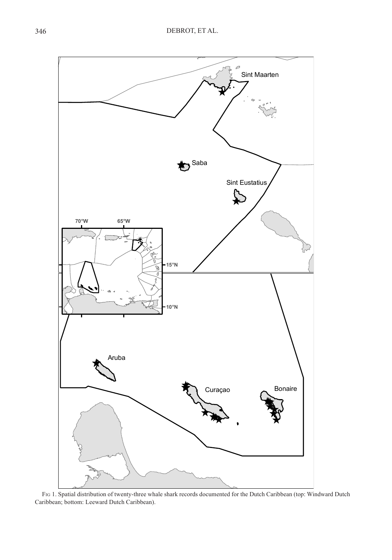

Fig 1. Spatial distribution of twenty-three whale shark records documented for the Dutch Caribbean (top: Windward Dutch Caribbean; bottom: Leeward Dutch Caribbean).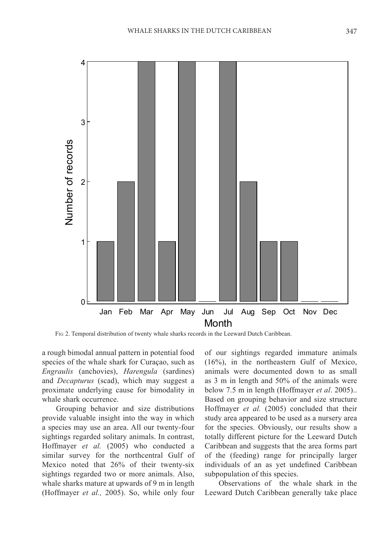

Fig 2. Temporal distribution of twenty whale sharks records in the Leeward Dutch Caribbean.

a rough bimodal annual pattern in potential food species of the whale shark for Curaçao, such as *Engraulis* (anchovies), *Harengula* (sardines) and *Decapturus* (scad), which may suggest a proximate underlying cause for bimodality in whale shark occurrence.

Grouping behavior and size distributions provide valuable insight into the way in which a species may use an area. All our twenty-four sightings regarded solitary animals. In contrast, Hoffmayer *et al.* (2005) who conducted a similar survey for the northcentral Gulf of Mexico noted that 26% of their twenty-six sightings regarded two or more animals. Also, whale sharks mature at upwards of 9 m in length (Hoffmayer *et al.,* 2005). So, while only four

of our sightings regarded immature animals (16%), in the northeastern Gulf of Mexico, animals were documented down to as small as 3 m in length and 50% of the animals were below 7.5 m in length (Hoffmayer *et al*. 2005).. Based on grouping behavior and size structure Hoffmayer *et al.* (2005) concluded that their study area appeared to be used as a nursery area for the species. Obviously, our results show a totally different picture for the Leeward Dutch Caribbean and suggests that the area forms part of the (feeding) range for principally larger individuals of an as yet undefined Caribbean subpopulation of this species.

Observations of the whale shark in the Leeward Dutch Caribbean generally take place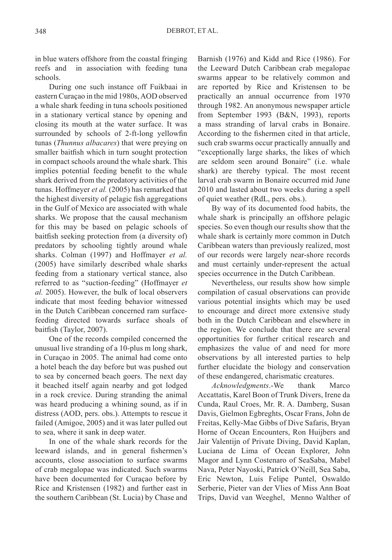in blue waters offshore from the coastal fringing reefs and in association with feeding tuna schools.

During one such instance off Fuikbaai in eastern Curaçao in the mid 1980s, AOD observed a whale shark feeding in tuna schools positioned in a stationary vertical stance by opening and closing its mouth at the water surface. It was surrounded by schools of 2-ft-long yellowfin tunas (*Thunnus albacares*) that were preying on smaller baitfish which in turn sought protection in compact schools around the whale shark. This implies potential feeding benefit to the whale shark derived from the predatory activities of the tunas. Hoffmeyer *et al.* (2005) has remarked that the highest diversity of pelagic fish aggregations in the Gulf of Mexico are associated with whale sharks. We propose that the causal mechanism for this may be based on pelagic schools of baitfish seeking protection from (a diversity of) predators by schooling tightly around whale sharks. Colman (1997) and Hoffmayer *et al.* (2005) have similarly described whale sharks feeding from a stationary vertical stance, also referred to as "suction-feeding" (Hoffmayer *et al.* 2005). However, the bulk of local observers indicate that most feeding behavior witnessed in the Dutch Caribbean concerned ram surfacefeeding directed towards surface shoals of baitfish (Taylor, 2007).

One of the records compiled concerned the unusual live stranding of a 10-plus m long shark, in Curaçao in 2005. The animal had come onto a hotel beach the day before but was pushed out to sea by concerned beach goers. The next day it beached itself again nearby and got lodged in a rock crevice. During stranding the animal was heard producing a whining sound, as if in distress (AOD, pers. obs.). Attempts to rescue it failed (Amigoe, 2005) and it was later pulled out to sea, where it sank in deep water.

In one of the whale shark records for the leeward islands, and in general fishermen's accounts, close association to surface swarms of crab megalopae was indicated. Such swarms have been documented for Curaçao before by Rice and Kristensen (1982) and further east in the southern Caribbean (St. Lucia) by Chase and

Barnish (1976) and Kidd and Rice (1986). For the Leeward Dutch Caribbean crab megalopae swarms appear to be relatively common and are reported by Rice and Kristensen to be practically an annual occurrence from 1970 through 1982. An anonymous newspaper article from September 1993 (B&N, 1993), reports a mass stranding of larval crabs in Bonaire. According to the fishermen cited in that article, such crab swarms occur practically annually and "exceptionally large sharks, the likes of which are seldom seen around Bonaire" (i.e. whale shark) are thereby typical. The most recent larval crab swarm in Bonaire occurred mid June 2010 and lasted about two weeks during a spell of quiet weather (RdL, pers. obs.).

By way of its documented food habits, the whale shark is principally an offshore pelagic species. So even though our results show that the whale shark is certainly more common in Dutch Caribbean waters than previously realized, most of our records were largely near-shore records and must certainly under-represent the actual species occurrence in the Dutch Caribbean.

Nevertheless, our results show how simple compilation of casual observations can provide various potential insights which may be used to encourage and direct more extensive study both in the Dutch Caribbean and elsewhere in the region. We conclude that there are several opportunities for further critical research and emphasizes the value of and need for more observations by all interested parties to help further elucidate the biology and conservation of these endangered, charismatic creatures.

*Acknowledgments*.-We thank Marco Accattatis, Karel Boon of Trunk Divers, Irene da Cunda, Raul Croes, Mr. R. A. Damberg, Susan Davis, Gielmon Egbreghts, Oscar Frans, John de Freitas, Kelly-Mae Gibbs of Dive Safaris, Bryan Horne of Ocean Encounters, Ron Huijbers and Jair Valentijn of Private Diving, David Kaplan, Luciana de Lima of Ocean Explorer, John Magor and Lynn Costenaro of SeaSaba, Mabel Nava, Peter Nayoski, Patrick O'Neill, Sea Saba, Eric Newton, Luis Felipe Puntel, Oswaldo Serberie, Pieter van der Vlies of Miss Ann Boat Trips, David van Weeghel, Menno Walther of